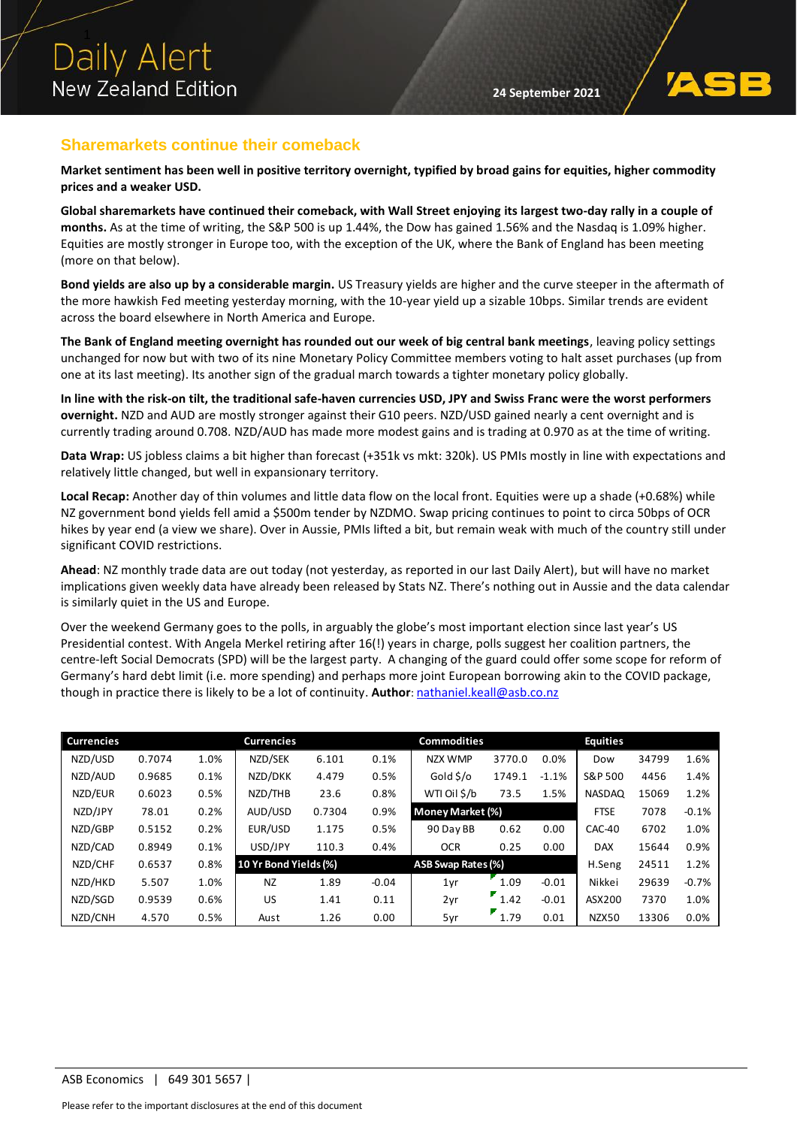

## **Sharemarkets continue their comeback**

**Market sentiment has been well in positive territory overnight, typified by broad gains for equities, higher commodity prices and a weaker USD.**

**Global sharemarkets have continued their comeback, with Wall Street enjoying its largest two-day rally in a couple of months.** As at the time of writing, the S&P 500 is up 1.44%, the Dow has gained 1.56% and the Nasdaq is 1.09% higher. Equities are mostly stronger in Europe too, with the exception of the UK, where the Bank of England has been meeting (more on that below).

**Bond yields are also up by a considerable margin.** US Treasury yields are higher and the curve steeper in the aftermath of the more hawkish Fed meeting yesterday morning, with the 10-year yield up a sizable 10bps. Similar trends are evident across the board elsewhere in North America and Europe.

**The Bank of England meeting overnight has rounded out our week of big central bank meetings**, leaving policy settings unchanged for now but with two of its nine Monetary Policy Committee members voting to halt asset purchases (up from one at its last meeting). Its another sign of the gradual march towards a tighter monetary policy globally.

**In line with the risk-on tilt, the traditional safe-haven currencies USD, JPY and Swiss Franc were the worst performers overnight.** NZD and AUD are mostly stronger against their G10 peers. NZD/USD gained nearly a cent overnight and is currently trading around 0.708. NZD/AUD has made more modest gains and is trading at 0.970 as at the time of writing.

**Data Wrap:** US jobless claims a bit higher than forecast (+351k vs mkt: 320k). US PMIs mostly in line with expectations and relatively little changed, but well in expansionary territory.

**Local Recap:** Another day of thin volumes and little data flow on the local front. Equities were up a shade (+0.68%) while NZ government bond yields fell amid a \$500m tender by NZDMO. Swap pricing continues to point to circa 50bps of OCR hikes by year end (a view we share). Over in Aussie, PMIs lifted a bit, but remain weak with much of the country still under significant COVID restrictions.

**Ahead**: NZ monthly trade data are out today (not yesterday, as reported in our last Daily Alert), but will have no market implications given weekly data have already been released by Stats NZ. There's nothing out in Aussie and the data calendar is similarly quiet in the US and Europe.

Over the weekend Germany goes to the polls, in arguably the globe's most important election since last year's US Presidential contest. With Angela Merkel retiring after 16(!) years in charge, polls suggest her coalition partners, the centre-left Social Democrats (SPD) will be the largest party. A changing of the guard could offer some scope for reform of Germany's hard debt limit (i.e. more spending) and perhaps more joint European borrowing akin to the COVID package, though in practice there is likely to be a lot of continuity. **Author**: [nathaniel.keall@asb.co.nz](mailto:nathaniel.keall@asb.co.nz)

| <b>Currencies</b> |        |      | <b>Currencies</b>     |        |         | <b>Commodities</b> |                   |         | <b>Equities</b> |       |         |
|-------------------|--------|------|-----------------------|--------|---------|--------------------|-------------------|---------|-----------------|-------|---------|
| NZD/USD           | 0.7074 | 1.0% | NZD/SEK               | 6.101  | 0.1%    | <b>NZX WMP</b>     | 3770.0            | 0.0%    | Dow             | 34799 | 1.6%    |
| NZD/AUD           | 0.9685 | 0.1% | NZD/DKK               | 4.479  | 0.5%    | Gold \$/o          | 1749.1            | $-1.1%$ | S&P 500         | 4456  | 1.4%    |
| NZD/EUR           | 0.6023 | 0.5% | NZD/THB               | 23.6   | 0.8%    | WTI Oil \$/b       | 73.5              | 1.5%    | <b>NASDAQ</b>   | 15069 | 1.2%    |
| NZD/JPY           | 78.01  | 0.2% | AUD/USD               | 0.7304 | 0.9%    | Money Market (%)   |                   |         | <b>FTSE</b>     | 7078  | $-0.1%$ |
| NZD/GBP           | 0.5152 | 0.2% | EUR/USD               | 1.175  | 0.5%    | 90 Day BB          | 0.62              | 0.00    | CAC-40          | 6702  | 1.0%    |
| NZD/CAD           | 0.8949 | 0.1% | USD/JPY               | 110.3  | 0.4%    | <b>OCR</b>         | 0.25              | 0.00    | <b>DAX</b>      | 15644 | 0.9%    |
| NZD/CHF           | 0.6537 | 0.8% | 10 Yr Bond Yields (%) |        |         | ASB Swap Rates (%) |                   |         | H.Seng          | 24511 | 1.2%    |
| NZD/HKD           | 5.507  | 1.0% | <b>NZ</b>             | 1.89   | $-0.04$ | 1yr                | 1.09              | $-0.01$ | Nikkei          | 29639 | $-0.7%$ |
| NZD/SGD           | 0.9539 | 0.6% | US.                   | 1.41   | 0.11    | 2yr                | $^{\bullet}$ 1.42 | $-0.01$ | ASX200          | 7370  | 1.0%    |
| NZD/CNH           | 4.570  | 0.5% | Aust                  | 1.26   | 0.00    | 5yr                | 1.79              | 0.01    | NZX50           | 13306 | 0.0%    |